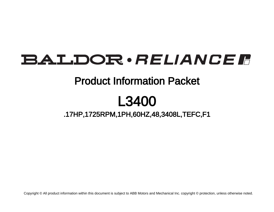## BALDOR · RELIANCE F

### Product Information Packet

# L3400

### .17HP,1725RPM,1PH,60HZ,48,3408L,TEFC,F1

Copyright © All product information within this document is subject to ABB Motors and Mechanical Inc. copyright © protection, unless otherwise noted.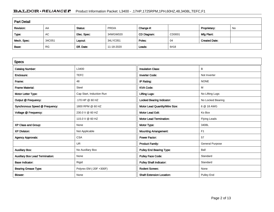#### BALDOR · RELIANCE F Product Information Packet: L3400 - .17HP,1725RPM,1PH,60HZ,48,3408L,TEFC,F1

| <b>Part Detail</b> |           |             |            |             |        |                      |    |  |
|--------------------|-----------|-------------|------------|-------------|--------|----------------------|----|--|
| Revision:          | AA        | Status:     | PRD/A      | Change #:   |        | Proprietary:         | No |  |
| Type:              | AC        | Elec. Spec: | 34WGW020   | CD Diagram: | CD0001 | Mfg Plant:           |    |  |
| Mech. Spec:        | 34C051    | Layout:     | 34LYC051   | Poles:      | 04     | <b>Created Date:</b> |    |  |
| Base:              | <b>RG</b> | Eff. Date:  | 11-18-2020 | Leads:      | 6#18   |                      |    |  |

| <b>Specs</b>                           |                          |                                  |                        |
|----------------------------------------|--------------------------|----------------------------------|------------------------|
| <b>Catalog Number:</b>                 | L3400                    | <b>Insulation Class:</b>         | B                      |
| Enclosure:                             | <b>TEFC</b>              | <b>Inverter Code:</b>            | Not Inverter           |
| Frame:                                 | 48                       | IP Rating:                       | <b>NONE</b>            |
| <b>Frame Material:</b>                 | Steel                    | <b>KVA Code:</b>                 | М                      |
| Motor Letter Type:                     | Cap Start, Induction Run | <b>Lifting Lugs:</b>             | No Lifting Lugs        |
| Output @ Frequency:                    | .170 HP @ 60 HZ          | <b>Locked Bearing Indicator:</b> | No Locked Bearing      |
| Synchronous Speed @ Frequency:         | 1800 RPM @ 60 HZ         | Motor Lead Quantity/Wire Size:   | 6 @ 18 AWG             |
| Voltage @ Frequency:                   | 230.0 V @ 60 HZ          | <b>Motor Lead Exit:</b>          | Ko Box                 |
|                                        | 115.0 V @ 60 HZ          | <b>Motor Lead Termination:</b>   | <b>Flying Leads</b>    |
| XP Class and Group:                    | None                     | Motor Type:                      | 3408L                  |
| <b>XP Division:</b>                    | Not Applicable           | <b>Mounting Arrangement:</b>     | F <sub>1</sub>         |
| <b>Agency Approvals:</b>               | <b>CSA</b>               | <b>Power Factor:</b>             | 57                     |
|                                        | <b>UR</b>                | <b>Product Family:</b>           | <b>General Purpose</b> |
| <b>Auxillary Box:</b>                  | No Auxillary Box         | <b>Pulley End Bearing Type:</b>  | Ball                   |
| <b>Auxillary Box Lead Termination:</b> | None                     | Pulley Face Code:                | Standard               |
| <b>Base Indicator:</b>                 | Rigid                    | <b>Pulley Shaft Indicator:</b>   | Standard               |
| <b>Bearing Grease Type:</b>            | Polyrex EM (-20F +300F)  | <b>Rodent Screen:</b>            | None                   |
| <b>Blower:</b>                         | None                     | <b>Shaft Extension Location:</b> | <b>Pulley End</b>      |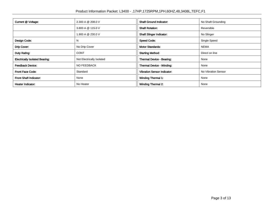| Current @ Voltage:                    | 2.300 A @ 208.0 V         | <b>Shaft Ground Indicator:</b>     | No Shaft Grounding  |
|---------------------------------------|---------------------------|------------------------------------|---------------------|
|                                       | 3.800 A @ 115.0 V         | <b>Shaft Rotation:</b>             | Reversible          |
|                                       | 1.900 A @ 230.0 V         | <b>Shaft Slinger Indicator:</b>    | No Slinger          |
| Design Code:                          | N                         | <b>Speed Code:</b>                 | Single Speed        |
| Drip Cover:                           | No Drip Cover             | <b>Motor Standards:</b>            | <b>NEMA</b>         |
| Duty Rating:                          | <b>CONT</b>               | <b>Starting Method:</b>            | Direct on line      |
| <b>Electrically Isolated Bearing:</b> | Not Electrically Isolated | Thermal Device - Bearing:          | None                |
| <b>Feedback Device:</b>               | NO FEEDBACK               | Thermal Device - Winding:          | None                |
| <b>Front Face Code:</b>               | Standard                  | <b>Vibration Sensor Indicator:</b> | No Vibration Sensor |
| <b>Front Shaft Indicator:</b>         | None                      | <b>Winding Thermal 1:</b>          | None                |
| Heater Indicator:                     | No Heater                 | <b>Winding Thermal 2:</b>          | None                |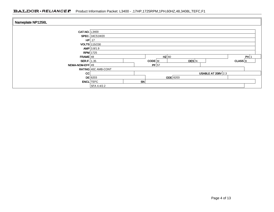| Nameplate NP1256L    |                       |    |         |                 |                           |             |  |  |
|----------------------|-----------------------|----|---------|-----------------|---------------------------|-------------|--|--|
| <b>CAT.NO.</b> L3400 |                       |    |         |                 |                           |             |  |  |
|                      | <b>SPEC.</b> 34C51W20 |    |         |                 |                           |             |  |  |
|                      | $HP$ .17              |    |         |                 |                           |             |  |  |
| VOLTS 115/230        |                       |    |         |                 |                           |             |  |  |
|                      | $AMP$ 3.8/1.9         |    |         |                 |                           |             |  |  |
|                      | <b>RPM</b> 1725       |    |         |                 |                           |             |  |  |
| $FRAME$ 48           |                       |    | $HZ$ 60 |                 |                           | PH 1        |  |  |
| <b>SER.F.</b> 1.35   |                       |    | CODE M  | DES N           |                           | $CLASS$ $B$ |  |  |
| NEMA-NOM-EFF 49      |                       |    | $PF$ 57 |                 |                           |             |  |  |
|                      | RATING 40C AMB-CONT   |    |         |                 |                           |             |  |  |
| CC                   |                       |    |         |                 | <b>USABLE AT 208V 2.3</b> |             |  |  |
|                      | $DE$ 6203             |    |         | <b>ODE</b> 6203 |                           |             |  |  |
|                      | <b>ENCL</b> TEFC      | SN |         |                 |                           |             |  |  |
|                      | SFA 4.4/2.2           |    |         |                 |                           |             |  |  |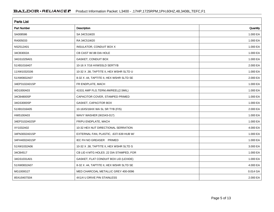| <b>Parts List</b>  |                                          |          |  |  |  |  |
|--------------------|------------------------------------------|----------|--|--|--|--|
| <b>Part Number</b> | Description                              | Quantity |  |  |  |  |
| SA008586           | SA 34C51W20                              | 1.000 EA |  |  |  |  |
| RA005033           | RA 34C51W20                              | 1.000 EA |  |  |  |  |
| NS2512A01          | INSULATOR, CONDUIT BOX X                 | 1.000 EA |  |  |  |  |
| 34CB3002A          | CB CAST W/.88 DIA HOLE                   | 1.000 EA |  |  |  |  |
| 34GS1029A01        | GASKET, CONDUIT BOX                      | 1.000 EA |  |  |  |  |
| 51XB1016A07        | 10-16 X 7/16 HXWSSLD SERTYB              | 2.000 EA |  |  |  |  |
| 11XW1032G06        | 10-32 X .38, TAPTITE II, HEX WSHR SLTD U | 1.000 EA |  |  |  |  |
| 51XW0832A07        | 8-32 X .44, TAPTITE II, HEX WSHR SLTD SE | 2.000 EA |  |  |  |  |
| 34EP3102A01SP      | FR ENDPLATE, MACH                        | 1.000 EA |  |  |  |  |
| WD1000A03          | 41531 AMP FLG.TERM,4M/REEL(2.5MIL)       | 1.000 EA |  |  |  |  |
| 34CB4800SP         | CAPACITOR COVER, STAMPED PRIMED          | 1.000 EA |  |  |  |  |
| 34GS3000SP         | GASKET, CAPACITOR BOX                    | 1.000 EA |  |  |  |  |
| 51XB1016A05        | 10-16X5/16HX WA SL SR TYB (F/S)          | 2.000 EA |  |  |  |  |
| HW5100A03          | WAVY WASHER (W1543-017)                  | 1.000 EA |  |  |  |  |
| 34EP3102A02SP      | FR/PU ENDPLATE, MACH                     | 1.000 EA |  |  |  |  |
| XY1032A02          | 10-32 HEX NUT DIRECTIONAL SERRATION      | 4.000 EA |  |  |  |  |
| 34FN3002A01SP      | EXTERNAL FAN, PLASTIC, .637/.639 HUB W/  | 1.000 EA |  |  |  |  |
| 34FH4002A01SP      | IEC FH NO GREASER PRIMED                 | 1.000 EA |  |  |  |  |
| 51XW1032A06        | 10-32 X .38, TAPTITE II, HEX WSHR SLTD S | 3.000 EA |  |  |  |  |
| 34CB4517           | CB LID 4 MTG HOLES .22 DIA STAMPED, FOR  | 1.000 EA |  |  |  |  |
| 34GS1031A01        | GASKET, FLAT CONDUIT BOX LID (LEXIDE)    | 1.000 EA |  |  |  |  |
| 51XW0832A07        | 8-32 X .44, TAPTITE II, HEX WSHR SLTD SE | 4.000 EA |  |  |  |  |
| MG1000G27          | MED CHARCOAL METALLIC GREY 400-0096      | 0.014 GA |  |  |  |  |
| 85XU0407S04        | 4X1/4 U DRIVE PIN STAINLESS              | 2.000 EA |  |  |  |  |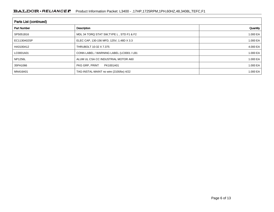| <b>Parts List (continued)</b> |                                          |          |  |  |  |
|-------------------------------|------------------------------------------|----------|--|--|--|
| <b>Part Number</b>            | Description                              | Quantity |  |  |  |
| SP5051B16                     | MDL 34 TORQ STAT SW, TYPE L, STD F1 & F2 | 1.000 EA |  |  |  |
| EC1130A02SP                   | ELEC CAP, 130-156 MFD, 125V, 1.48D X 3.3 | 1.000 EA |  |  |  |
| HA3100A12                     | THRUBOLT 10-32 X 7.375                   | 4.000 EA |  |  |  |
| LC0001A01                     | CONN LABEL / WARNING LABEL (LC0001 / LB1 | 1.000 EA |  |  |  |
| <b>NP1256L</b>                | ALUM UL CSA CC INDUSTRIAL MOTOR A60      | 1.000 EA |  |  |  |
| 35PA1066                      | PKG GRP, PRINT<br>PK1001A01              | 1.000 EA |  |  |  |
| MN416A01                      | TAG-INSTAL-MAINT no wire (2100/bx) 4/22  | 1.000 EA |  |  |  |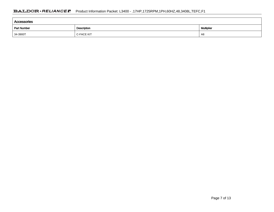| Accessories                       |                   |                   |  |  |  |  |
|-----------------------------------|-------------------|-------------------|--|--|--|--|
| Description<br><b>Part Number</b> |                   | <b>Multiplier</b> |  |  |  |  |
| 34-3900T                          | <b>C-FACE KIT</b> | A8                |  |  |  |  |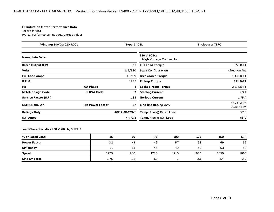#### **AC Induction Motor Performance Data**

Record # 6851Typical performance - not guaranteed values

| Winding: 34WGW020-R001<br><b>Type: 3408L</b> |                 |              | <b>Enclosure: TEFC</b>                          |                                          |
|----------------------------------------------|-----------------|--------------|-------------------------------------------------|------------------------------------------|
| <b>Nameplate Data</b>                        |                 |              | 230 V, 60 Hz:<br><b>High Voltage Connection</b> |                                          |
| <b>Rated Output (HP)</b>                     |                 | .17          | <b>Full Load Torque</b>                         | $0.5$ LB-FT                              |
| <b>Volts</b>                                 |                 | 115/230      | <b>Start Configuration</b>                      | direct on line                           |
| <b>Full Load Amps</b>                        |                 | 3.8/1.9      | <b>Breakdown Torque</b>                         | 1.38 LB-FT                               |
| <b>R.P.M.</b>                                |                 | 1725         | <b>Pull-up Torque</b>                           | $1.2$ LB-FT                              |
| Hz                                           | 60 Phase        |              | <b>Locked-rotor Torque</b>                      | 2.13 LB-FT                               |
| <b>NEMA Design Code</b>                      | N KVA Code      | M            | <b>Starting Current</b>                         | 7.8 A                                    |
| Service Factor (S.F.)                        |                 | 1.35         | <b>No-load Current</b>                          | 1.75A                                    |
| <b>NEMA Nom. Eff.</b>                        | 49 Power Factor | 57           | Line-line Res. $@$ 25°C                         | 13.7 $\Omega$ A Ph<br>$10.8 \Omega$ B Ph |
| <b>Rating - Duty</b>                         |                 | 40C AMB-CONT | Temp. Rise @ Rated Load                         | $50^{\circ}$ C                           |
| S.F. Amps                                    |                 | 4.4/2.2      | Temp. Rise @ S.F. Load                          | $61^{\circ}$ C                           |

#### **Load Characteristics 230 V, 60 Hz, 0.17 HP**

| % of Rated Load     | 25   | 50   | 75   | 100  | 125  | 150  | S.F. |
|---------------------|------|------|------|------|------|------|------|
| <b>Power Factor</b> | 32   | 41   | 49   | 57   | 63   | 69   | 67   |
| <b>Efficiency</b>   | 21   | 35   | 45   | 49   | 52   | 53   | 53   |
| <b>Speed</b>        | 1775 | 1760 | 1730 | 1710 | 1685 | 1650 | 1665 |
| Line amperes        | 1.75 | 1.8  | 1.9  |      | 2.1  | 2.4  | 2.2  |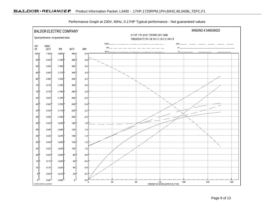

Performance Graph at 230V, 60Hz, 0.17HP Typical performance - Not guaranteed values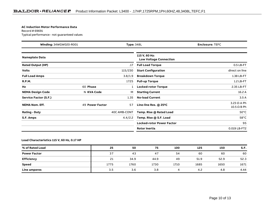#### **AC Induction Motor Performance Data**

Record # 69691Typical performance - not guaranteed values

| Winding: 34WGW020-R001   |                 | <b>Type: 348L</b> |                                                | <b>Enclosure: TEFC</b>                   |
|--------------------------|-----------------|-------------------|------------------------------------------------|------------------------------------------|
| <b>Nameplate Data</b>    |                 |                   | 115 V, 60 Hz:<br><b>Low Voltage Connection</b> |                                          |
| <b>Rated Output (HP)</b> |                 | .17               | <b>Full Load Torque</b>                        | $0.5$ LB-FT                              |
| <b>Volts</b>             |                 | 115/230           | <b>Start Configuration</b>                     | direct on line                           |
| <b>Full Load Amps</b>    |                 | 3.8/1.9           | <b>Breakdown Torque</b>                        | 1.38 LB-FT                               |
| <b>R.P.M.</b>            |                 | 1725              | <b>Pull-up Torque</b>                          | $1.2$ LB-FT                              |
| Hz                       | 60 Phase        |                   | <b>Locked-rotor Torque</b>                     | 2.35 LB-FT                               |
| <b>NEMA Design Code</b>  | N KVA Code      | м                 | <b>Starting Current</b>                        | 16.2 A                                   |
| Service Factor (S.F.)    |                 | 1.35              | <b>No-load Current</b>                         | 3.5A                                     |
| <b>NEMA Nom. Eff.</b>    | 49 Power Factor | 57                | Line-line Res. @ 25°C                          | $3.23 \Omega$ A Ph<br>$10.5 \Omega$ B Ph |
| <b>Rating - Duty</b>     |                 | 40C AMB-CONT      | Temp. Rise @ Rated Load                        | $50^{\circ}$ C                           |
| S.F. Amps                |                 | 4.4/2.2           | Temp. Rise @ S.F. Load                         | $58^{\circ}$ C                           |
|                          |                 |                   | Locked-rotor Power Factor                      | 95                                       |
|                          |                 |                   | <b>Rotor inertia</b>                           | 0.019 LB-FT2                             |

#### **Load Characteristics 115 V, 60 Hz, 0.17 HP**

| % of Rated Load     | 25   | 50   | 75   | 100  | 125  | 150  | S.F. |
|---------------------|------|------|------|------|------|------|------|
| <b>Power Factor</b> | 37   | 43   | 47   | 54   | 60   | 60   | 60   |
| <b>Efficiency</b>   | 21   | 34.9 | 44.9 | 49   | 51.9 | 52.9 | 52.3 |
| Speed               | 1775 | 1760 | 1730 | 1710 | 1685 | 1650 | 1671 |
| <b>Line amperes</b> | 3.5  | 3.6  | 3.8  | 4    | 4.2  | 4.8  | 4.44 |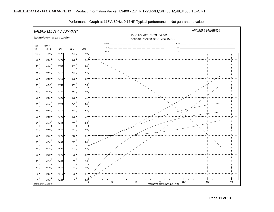

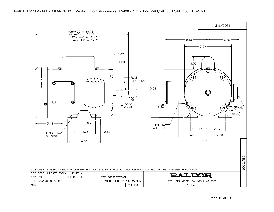